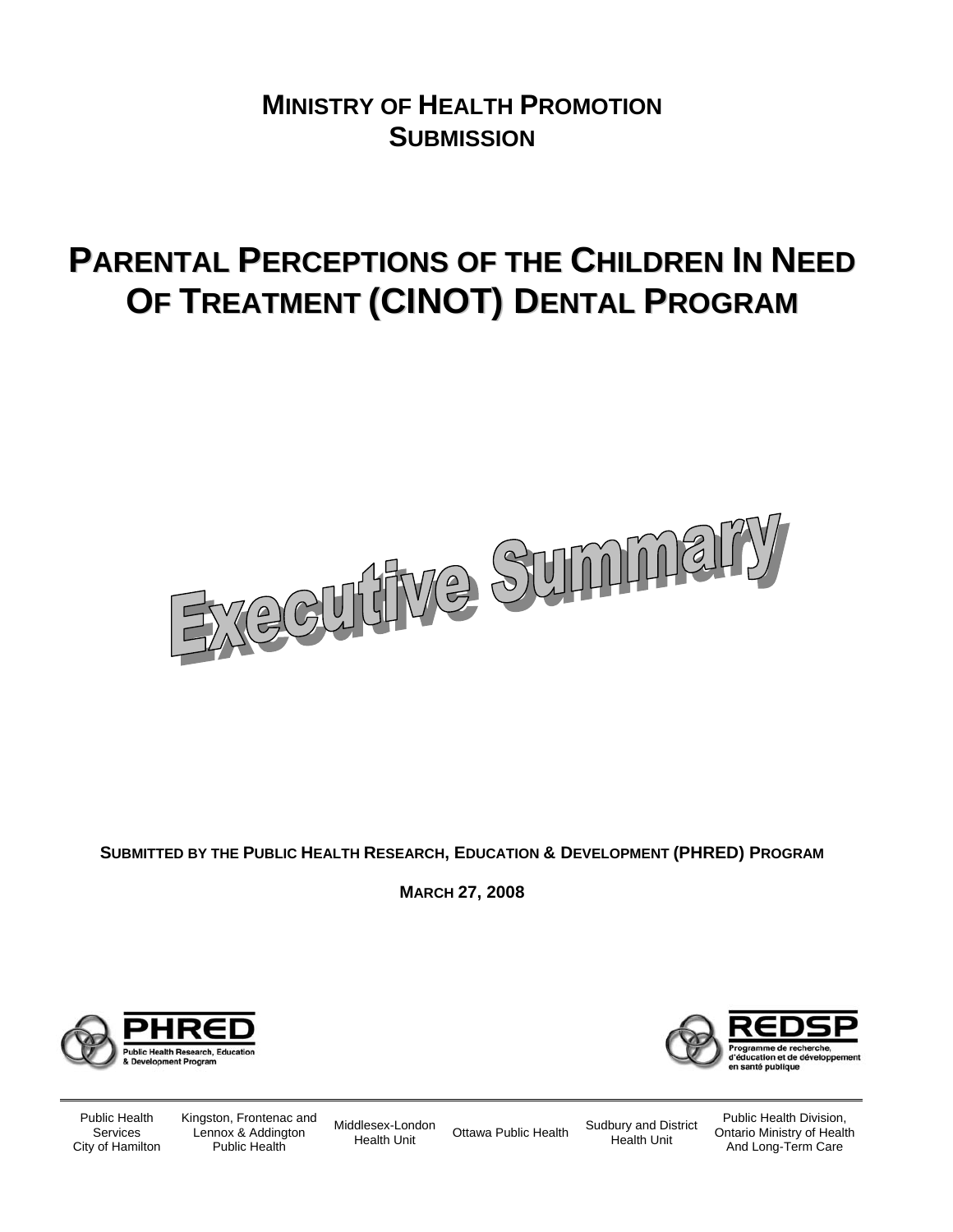## **MINISTRY OF HEALTH PROMOTION SUBMISSION**

# **PARENTAL PERCEPTIONS OF THE CHILDREN IN NEED OF TREATMENT (CINOT) DENTAL PROGRAM**



**SUBMITTED BY THE PUBLIC HEALTH RESEARCH, EDUCATION & DEVELOPMENT (PHRED) PROGRAM**

**MARCH 27, 2008**





Public Health Services City of Hamilton Kingston, Frontenac and Lennox & Addington Public Health

Middlesex-London

Idlesex-London Ottawa Public Health Sudbury and District Health Unit

Health Unit

Public Health Division, Ontario Ministry of Health And Long-Term Care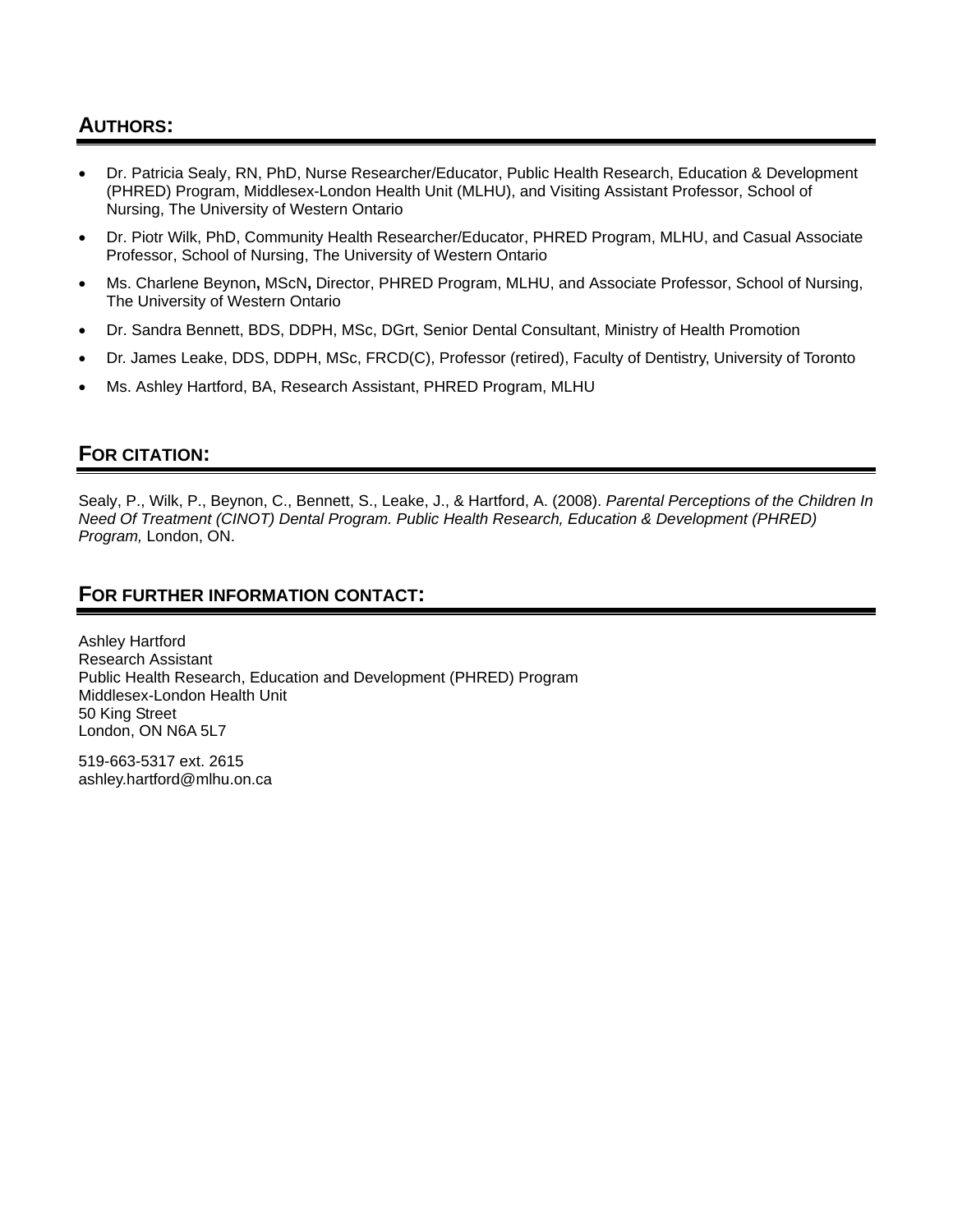## **AUTHORS:**

- Dr. Patricia Sealy, RN, PhD, Nurse Researcher/Educator, Public Health Research, Education & Development (PHRED) Program, Middlesex-London Health Unit (MLHU), and Visiting Assistant Professor, School of Nursing, The University of Western Ontario
- Dr. Piotr Wilk, PhD, Community Health Researcher/Educator, PHRED Program, MLHU, and Casual Associate Professor, School of Nursing, The University of Western Ontario
- Ms. Charlene Beynon**,** MScN**,** Director, PHRED Program, MLHU, and Associate Professor, School of Nursing, The University of Western Ontario
- Dr. Sandra Bennett, BDS, DDPH, MSc, DGrt, Senior Dental Consultant, Ministry of Health Promotion
- Dr. James Leake, DDS, DDPH, MSc, FRCD(C), Professor (retired), Faculty of Dentistry, University of Toronto
- Ms. Ashley Hartford, BA, Research Assistant, PHRED Program, MLHU

## **FOR CITATION:**

Sealy, P., Wilk, P., Beynon, C., Bennett, S., Leake, J., & Hartford, A. (2008). *Parental Perceptions of the Children In Need Of Treatment (CINOT) Dental Program. Public Health Research, Education & Development (PHRED) Program,* London, ON.

## **FOR FURTHER INFORMATION CONTACT:**

Ashley Hartford Research Assistant Public Health Research, Education and Development (PHRED) Program Middlesex-London Health Unit 50 King Street London, ON N6A 5L7

519-663-5317 ext. 2615 ashley.hartford@mlhu.on.ca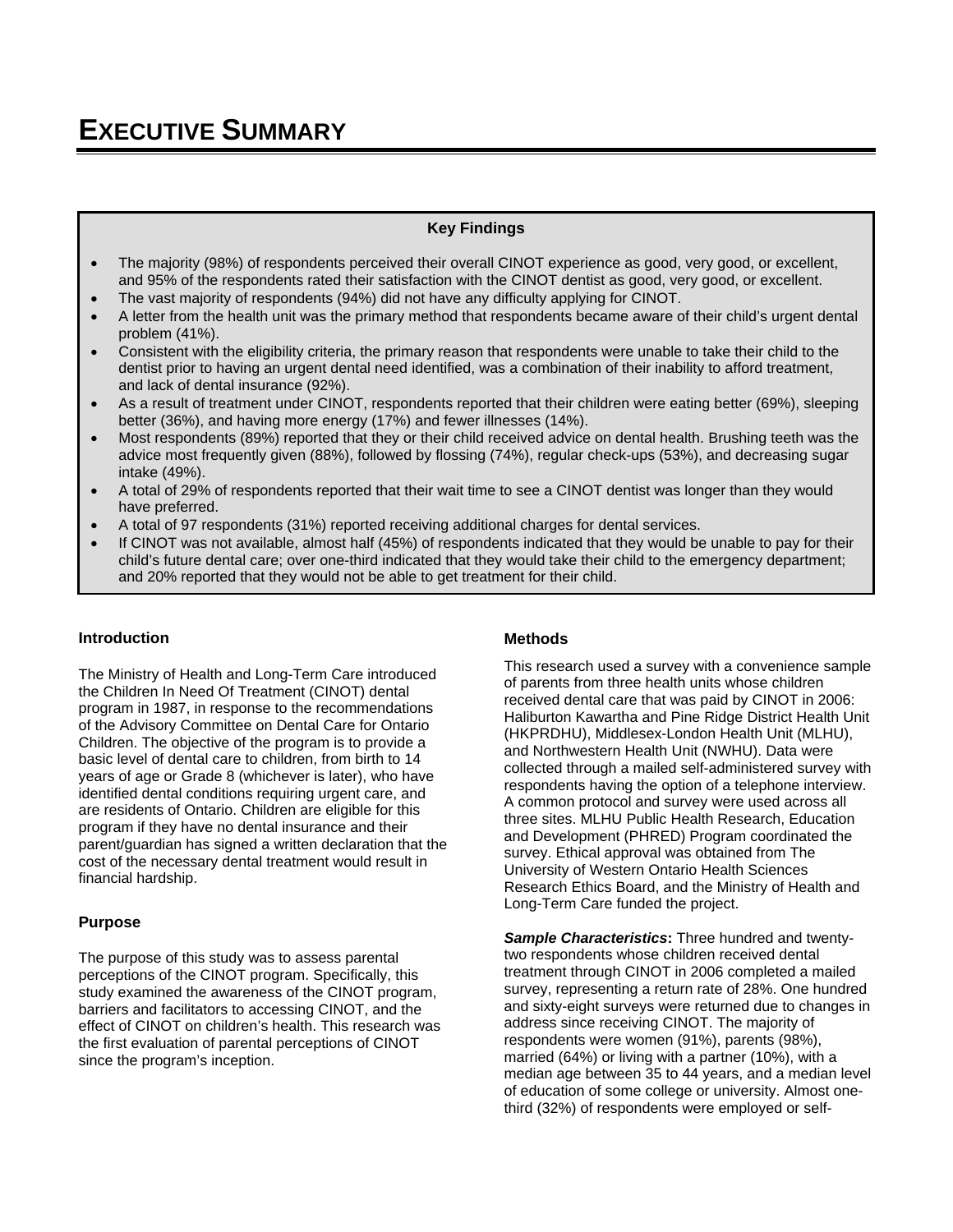#### **Key Findings**

- The majority (98%) of respondents perceived their overall CINOT experience as good, very good, or excellent, and 95% of the respondents rated their satisfaction with the CINOT dentist as good, very good, or excellent.
- The vast majority of respondents (94%) did not have any difficulty applying for CINOT.
- A letter from the health unit was the primary method that respondents became aware of their child's urgent dental problem (41%).
- Consistent with the eligibility criteria, the primary reason that respondents were unable to take their child to the dentist prior to having an urgent dental need identified, was a combination of their inability to afford treatment, and lack of dental insurance (92%).
- As a result of treatment under CINOT, respondents reported that their children were eating better (69%), sleeping better (36%), and having more energy (17%) and fewer illnesses (14%).
- Most respondents (89%) reported that they or their child received advice on dental health. Brushing teeth was the advice most frequently given (88%), followed by flossing (74%), regular check-ups (53%), and decreasing sugar intake (49%).
- A total of 29% of respondents reported that their wait time to see a CINOT dentist was longer than they would have preferred.
- A total of 97 respondents (31%) reported receiving additional charges for dental services.
- If CINOT was not available, almost half (45%) of respondents indicated that they would be unable to pay for their child's future dental care; over one-third indicated that they would take their child to the emergency department; and 20% reported that they would not be able to get treatment for their child.

#### **Introduction**

The Ministry of Health and Long-Term Care introduced the Children In Need Of Treatment (CINOT) dental program in 1987, in response to the recommendations of the Advisory Committee on Dental Care for Ontario Children. The objective of the program is to provide a basic level of dental care to children, from birth to 14 years of age or Grade 8 (whichever is later), who have identified dental conditions requiring urgent care, and are residents of Ontario. Children are eligible for this program if they have no dental insurance and their parent/guardian has signed a written declaration that the cost of the necessary dental treatment would result in financial hardship.

#### **Purpose**

The purpose of this study was to assess parental perceptions of the CINOT program. Specifically, this study examined the awareness of the CINOT program, barriers and facilitators to accessing CINOT, and the effect of CINOT on children's health. This research was the first evaluation of parental perceptions of CINOT since the program's inception.

#### **Methods**

This research used a survey with a convenience sample of parents from three health units whose children received dental care that was paid by CINOT in 2006: Haliburton Kawartha and Pine Ridge District Health Unit (HKPRDHU), Middlesex-London Health Unit (MLHU), and Northwestern Health Unit (NWHU). Data were collected through a mailed self-administered survey with respondents having the option of a telephone interview. A common protocol and survey were used across all three sites. MLHU Public Health Research, Education and Development (PHRED) Program coordinated the survey. Ethical approval was obtained from The University of Western Ontario Health Sciences Research Ethics Board, and the Ministry of Health and Long-Term Care funded the project.

*Sample Characteristics***:** Three hundred and twentytwo respondents whose children received dental treatment through CINOT in 2006 completed a mailed survey, representing a return rate of 28%. One hundred and sixty-eight surveys were returned due to changes in address since receiving CINOT. The majority of respondents were women (91%), parents (98%), married (64%) or living with a partner (10%), with a median age between 35 to 44 years, and a median level of education of some college or university. Almost onethird (32%) of respondents were employed or self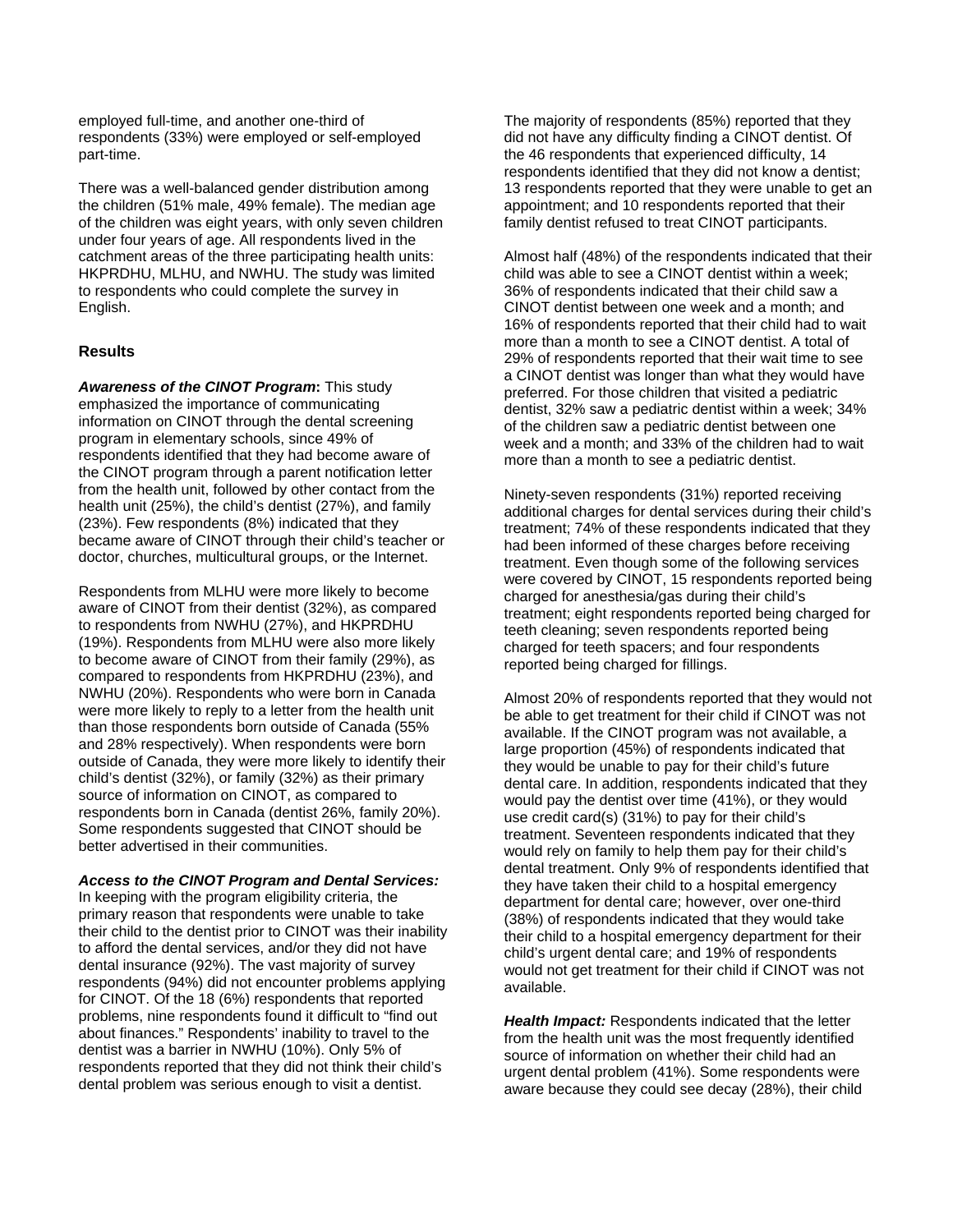employed full-time, and another one-third of respondents (33%) were employed or self-employed part-time.

There was a well-balanced gender distribution among the children (51% male, 49% female). The median age of the children was eight years, with only seven children under four years of age. All respondents lived in the catchment areas of the three participating health units: HKPRDHU, MLHU, and NWHU. The study was limited to respondents who could complete the survey in English.

#### **Results**

*Awareness of the CINOT Program***:** This study emphasized the importance of communicating information on CINOT through the dental screening program in elementary schools, since 49% of respondents identified that they had become aware of the CINOT program through a parent notification letter from the health unit, followed by other contact from the health unit (25%), the child's dentist (27%), and family (23%). Few respondents (8%) indicated that they became aware of CINOT through their child's teacher or doctor, churches, multicultural groups, or the Internet.

Respondents from MLHU were more likely to become aware of CINOT from their dentist (32%), as compared to respondents from NWHU (27%), and HKPRDHU (19%). Respondents from MLHU were also more likely to become aware of CINOT from their family (29%), as compared to respondents from HKPRDHU (23%), and NWHU (20%). Respondents who were born in Canada were more likely to reply to a letter from the health unit than those respondents born outside of Canada (55% and 28% respectively). When respondents were born outside of Canada, they were more likely to identify their child's dentist (32%), or family (32%) as their primary source of information on CINOT, as compared to respondents born in Canada (dentist 26%, family 20%). Some respondents suggested that CINOT should be better advertised in their communities.

#### *Access to the CINOT Program and Dental Services:*

In keeping with the program eligibility criteria, the primary reason that respondents were unable to take their child to the dentist prior to CINOT was their inability to afford the dental services, and/or they did not have dental insurance (92%). The vast majority of survey respondents (94%) did not encounter problems applying for CINOT. Of the 18 (6%) respondents that reported problems, nine respondents found it difficult to "find out about finances." Respondents' inability to travel to the dentist was a barrier in NWHU (10%). Only 5% of respondents reported that they did not think their child's dental problem was serious enough to visit a dentist.

The majority of respondents (85%) reported that they did not have any difficulty finding a CINOT dentist. Of the 46 respondents that experienced difficulty, 14 respondents identified that they did not know a dentist; 13 respondents reported that they were unable to get an appointment; and 10 respondents reported that their family dentist refused to treat CINOT participants.

Almost half (48%) of the respondents indicated that their child was able to see a CINOT dentist within a week; 36% of respondents indicated that their child saw a CINOT dentist between one week and a month; and 16% of respondents reported that their child had to wait more than a month to see a CINOT dentist. A total of 29% of respondents reported that their wait time to see a CINOT dentist was longer than what they would have preferred. For those children that visited a pediatric dentist, 32% saw a pediatric dentist within a week; 34% of the children saw a pediatric dentist between one week and a month; and 33% of the children had to wait more than a month to see a pediatric dentist.

Ninety-seven respondents (31%) reported receiving additional charges for dental services during their child's treatment; 74% of these respondents indicated that they had been informed of these charges before receiving treatment. Even though some of the following services were covered by CINOT, 15 respondents reported being charged for anesthesia/gas during their child's treatment; eight respondents reported being charged for teeth cleaning; seven respondents reported being charged for teeth spacers; and four respondents reported being charged for fillings.

Almost 20% of respondents reported that they would not be able to get treatment for their child if CINOT was not available. If the CINOT program was not available, a large proportion (45%) of respondents indicated that they would be unable to pay for their child's future dental care. In addition, respondents indicated that they would pay the dentist over time (41%), or they would use credit card(s) (31%) to pay for their child's treatment. Seventeen respondents indicated that they would rely on family to help them pay for their child's dental treatment. Only 9% of respondents identified that they have taken their child to a hospital emergency department for dental care; however, over one-third (38%) of respondents indicated that they would take their child to a hospital emergency department for their child's urgent dental care; and 19% of respondents would not get treatment for their child if CINOT was not available.

*Health Impact:* Respondents indicated that the letter from the health unit was the most frequently identified source of information on whether their child had an urgent dental problem (41%). Some respondents were aware because they could see decay (28%), their child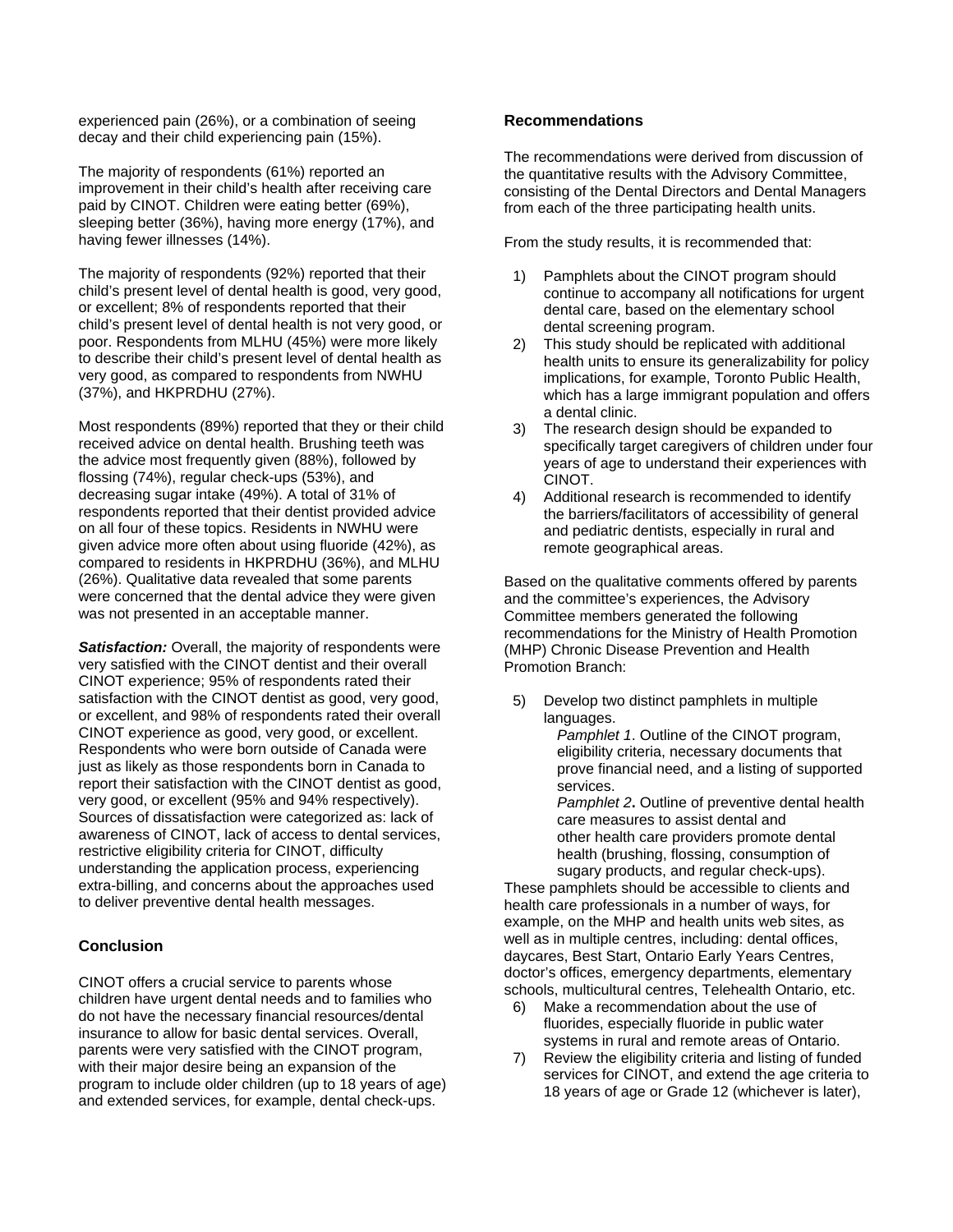experienced pain (26%), or a combination of seeing decay and their child experiencing pain (15%).

The majority of respondents (61%) reported an improvement in their child's health after receiving care paid by CINOT. Children were eating better (69%), sleeping better (36%), having more energy (17%), and having fewer illnesses (14%).

The majority of respondents (92%) reported that their child's present level of dental health is good, very good, or excellent; 8% of respondents reported that their child's present level of dental health is not very good, or poor. Respondents from MLHU (45%) were more likely to describe their child's present level of dental health as very good, as compared to respondents from NWHU (37%), and HKPRDHU (27%).

Most respondents (89%) reported that they or their child received advice on dental health. Brushing teeth was the advice most frequently given (88%), followed by flossing (74%), regular check-ups (53%), and decreasing sugar intake (49%). A total of 31% of respondents reported that their dentist provided advice on all four of these topics. Residents in NWHU were given advice more often about using fluoride (42%), as compared to residents in HKPRDHU (36%), and MLHU (26%). Qualitative data revealed that some parents were concerned that the dental advice they were given was not presented in an acceptable manner.

**Satisfaction:** Overall, the majority of respondents were very satisfied with the CINOT dentist and their overall CINOT experience; 95% of respondents rated their satisfaction with the CINOT dentist as good, very good, or excellent, and 98% of respondents rated their overall CINOT experience as good, very good, or excellent. Respondents who were born outside of Canada were just as likely as those respondents born in Canada to report their satisfaction with the CINOT dentist as good, very good, or excellent (95% and 94% respectively). Sources of dissatisfaction were categorized as: lack of awareness of CINOT, lack of access to dental services, restrictive eligibility criteria for CINOT, difficulty understanding the application process, experiencing extra-billing, and concerns about the approaches used to deliver preventive dental health messages.

#### **Conclusion**

CINOT offers a crucial service to parents whose children have urgent dental needs and to families who do not have the necessary financial resources/dental insurance to allow for basic dental services. Overall, parents were very satisfied with the CINOT program, with their major desire being an expansion of the program to include older children (up to 18 years of age) and extended services, for example, dental check-ups.

#### **Recommendations**

The recommendations were derived from discussion of the quantitative results with the Advisory Committee, consisting of the Dental Directors and Dental Managers from each of the three participating health units.

From the study results, it is recommended that:

- 1) Pamphlets about the CINOT program should continue to accompany all notifications for urgent dental care, based on the elementary school dental screening program.
- 2) This study should be replicated with additional health units to ensure its generalizability for policy implications, for example, Toronto Public Health, which has a large immigrant population and offers a dental clinic.
- 3) The research design should be expanded to specifically target caregivers of children under four years of age to understand their experiences with CINOT.
- 4) Additional research is recommended to identify the barriers/facilitators of accessibility of general and pediatric dentists, especially in rural and remote geographical areas.

Based on the qualitative comments offered by parents and the committee's experiences, the Advisory Committee members generated the following recommendations for the Ministry of Health Promotion (MHP) Chronic Disease Prevention and Health Promotion Branch:

5) Develop two distinct pamphlets in multiple languages.

*Pamphlet 1*. Outline of the CINOT program, eligibility criteria, necessary documents that prove financial need, and a listing of supported services.

*Pamphlet 2***.** Outline of preventive dental health care measures to assist dental and other health care providers promote dental health (brushing, flossing, consumption of sugary products, and regular check-ups).

These pamphlets should be accessible to clients and health care professionals in a number of ways, for example, on the MHP and health units web sites, as well as in multiple centres, including: dental offices, daycares, Best Start, Ontario Early Years Centres, doctor's offices, emergency departments, elementary schools, multicultural centres, Telehealth Ontario, etc.

- 6) Make a recommendation about the use of fluorides, especially fluoride in public water systems in rural and remote areas of Ontario.
- 7) Review the eligibility criteria and listing of funded services for CINOT, and extend the age criteria to 18 years of age or Grade 12 (whichever is later),